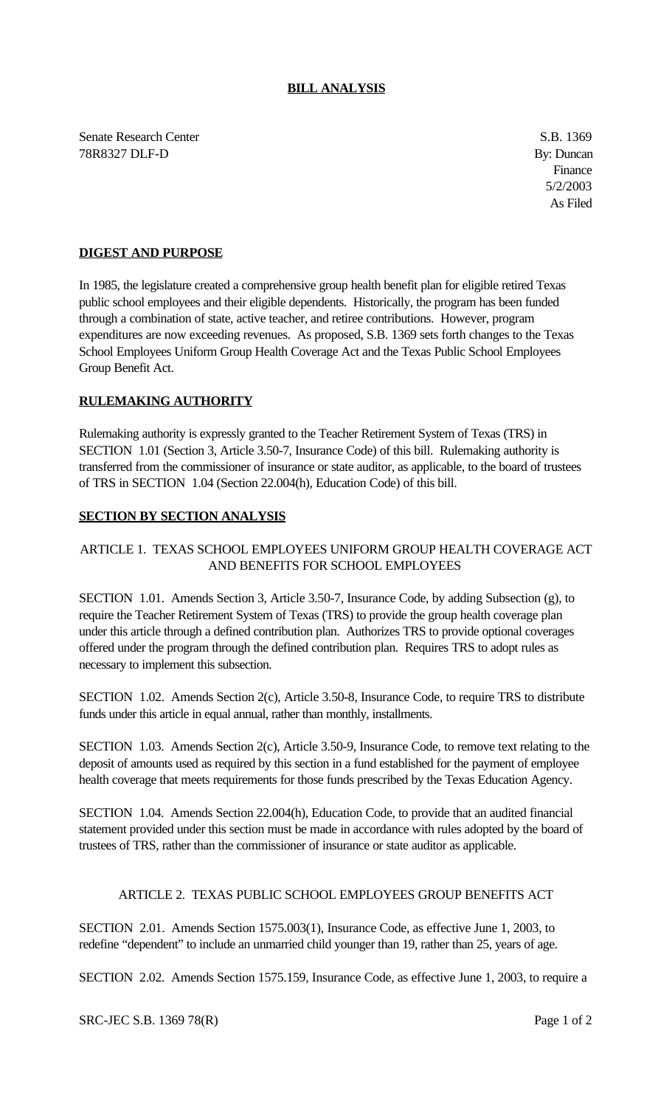### **BILL ANALYSIS**

Senate Research Center S.B. 1369 78R8327 DLF-D By: Duncan

Finance 5/2/2003 As Filed

### **DIGEST AND PURPOSE**

In 1985, the legislature created a comprehensive group health benefit plan for eligible retired Texas public school employees and their eligible dependents. Historically, the program has been funded through a combination of state, active teacher, and retiree contributions. However, program expenditures are now exceeding revenues. As proposed, S.B. 1369 sets forth changes to the Texas School Employees Uniform Group Health Coverage Act and the Texas Public School Employees Group Benefit Act.

#### **RULEMAKING AUTHORITY**

Rulemaking authority is expressly granted to the Teacher Retirement System of Texas (TRS) in SECTION 1.01 (Section 3, Article 3.50-7, Insurance Code) of this bill. Rulemaking authority is transferred from the commissioner of insurance or state auditor, as applicable, to the board of trustees of TRS in SECTION 1.04 (Section 22.004(h), Education Code) of this bill.

### **SECTION BY SECTION ANALYSIS**

# ARTICLE 1. TEXAS SCHOOL EMPLOYEES UNIFORM GROUP HEALTH COVERAGE ACT AND BENEFITS FOR SCHOOL EMPLOYEES

SECTION 1.01. Amends Section 3, Article 3.50-7, Insurance Code, by adding Subsection (g), to require the Teacher Retirement System of Texas (TRS) to provide the group health coverage plan under this article through a defined contribution plan. Authorizes TRS to provide optional coverages offered under the program through the defined contribution plan. Requires TRS to adopt rules as necessary to implement this subsection.

SECTION 1.02. Amends Section 2(c), Article 3.50-8, Insurance Code, to require TRS to distribute funds under this article in equal annual, rather than monthly, installments.

SECTION 1.03. Amends Section 2(c), Article 3.50-9, Insurance Code, to remove text relating to the deposit of amounts used as required by this section in a fund established for the payment of employee health coverage that meets requirements for those funds prescribed by the Texas Education Agency.

SECTION 1.04. Amends Section 22.004(h), Education Code, to provide that an audited financial statement provided under this section must be made in accordance with rules adopted by the board of trustees of TRS, rather than the commissioner of insurance or state auditor as applicable.

## ARTICLE 2. TEXAS PUBLIC SCHOOL EMPLOYEES GROUP BENEFITS ACT

SECTION 2.01. Amends Section 1575.003(1), Insurance Code, as effective June 1, 2003, to redefine "dependent" to include an unmarried child younger than 19, rather than 25, years of age.

SECTION 2.02. Amends Section 1575.159, Insurance Code, as effective June 1, 2003, to require a